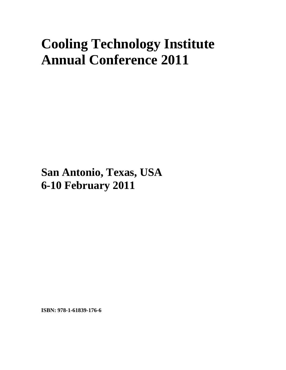## **Cooling Technology Institute Annual Conference 2011**

**San Antonio, Texas, USA 6-10 February 2011**

**ISBN: 978-1-61839-176-6**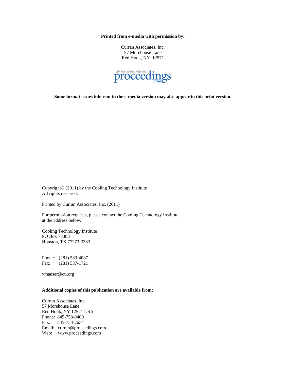**Printed from e-media with permission by:** 

Curran Associates, Inc. 57 Morehouse Lane Red Hook, NY 12571



**Some format issues inherent in the e-media version may also appear in this print version.** 

Copyright© (2011) by the Cooling Technology Institute All rights reserved.

Printed by Curran Associates, Inc. (2011)

For permission requests, please contact the Cooling Technology Institute at the address below.

Cooling Technology Institute PO Box 73383 Houston, TX 77273-3383

Phone: (281) 583-4087 Fax: (281) 537-1721

vmanser@cti.org

## **Additional copies of this publication are available from:**

Curran Associates, Inc. 57 Morehouse Lane Red Hook, NY 12571 USA Phone: 845-758-0400 Fax: 845-758-2634 Email: curran@proceedings.com Web: www.proceedings.com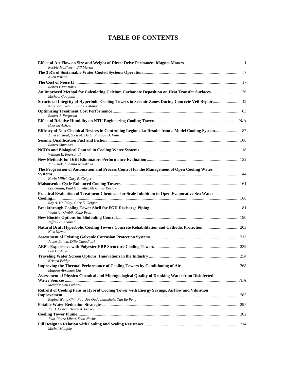## **TABLE OF CONTENTS**

| Robbie McElveen, Bill Martin                                                                                                        |  |
|-------------------------------------------------------------------------------------------------------------------------------------|--|
| Allen Wilson                                                                                                                        |  |
| Robert Giammaruti                                                                                                                   |  |
| An Improved Method for Calculating Calcium Carbonate Deposition on Heat Transfer Surfaces 26<br>Michael Coughlin                    |  |
| Structural Integrity of Hyperbolic Cooling Towers in Seismic Zones During Concrete Veil Repair 42<br>Narendra Gosain, Farouk Mahama |  |
| Robert J. Ferguson                                                                                                                  |  |
| Hossein Akhavi                                                                                                                      |  |
| Janet E. Stout, Scott M. Duda, Radisav D. Vidic                                                                                     |  |
| <b>Robert Simmons</b>                                                                                                               |  |
| William E. Pearson II                                                                                                               |  |
| Jan Cizek, Ludmila Novakova                                                                                                         |  |
| The Progression of Automation and Process Control for the Management of Open Cooling Water                                          |  |
| Kevin Milici, Gary E. Geiger                                                                                                        |  |
| Lee Gillan, Paul Glanville, Aleksandr Kozlov                                                                                        |  |
| Practical Evaluation of Treatment Chemicals for Scale Inhibition in Open Evaporative Sea Water                                      |  |
| Roy A. Holliday, Gary E. Geiger                                                                                                     |  |
| Vladislav Grebik, Reko Prah                                                                                                         |  |
| Jeffrey F. Kramer                                                                                                                   |  |
| Natural Draft Hyperbolic Cooling Towers Concrete Rehabilitation and Cathodic Protection 203<br><b>Nick Nowell</b>                   |  |
| Javier Balma, Dilip Choudhuri                                                                                                       |  |
| <b>Bob Cashner</b>                                                                                                                  |  |
| Kristen Bridge                                                                                                                      |  |
| Magose Abraham Eju                                                                                                                  |  |
| Assessment of Physico-Chemical and Microgiological Quality of Drinking Water from Disinfected<br>Mengesatyhu Birhanu                |  |
| Retrofit of Cooling Fans in Hybrid Cooling Tower with Energy Savings, Airflow and Vibration                                         |  |
| Regina Wong Chin Pau, Jos Oude Luttikhuis, Tan Ee Peng                                                                              |  |
|                                                                                                                                     |  |
| Jon J. Cohen, Henry A. Becker                                                                                                       |  |
| Jean-Pierre Libert, Scott Nevins                                                                                                    |  |
| Michel Monjoie                                                                                                                      |  |